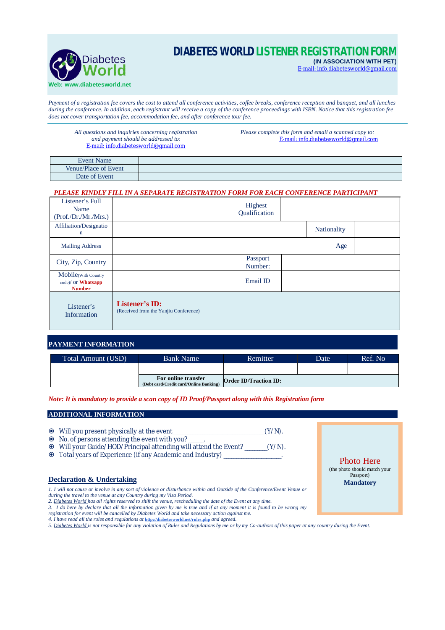

# **DIABETES WORLD LISTENER REGISTRATION FORM**

**(IN ASSOCIATION WITH PET)** E-mail: [info.diabetesworld@gmail.com](mailto:info.diabetesworld@gmail.com)

*Payment of a registration fee covers the cost to attend all conference activities, coffee breaks, conference reception and banquet, and all lunches during the conference. In addition, each registrant will receive a copy of the conference proceedings with ISBN. Notice that this registration fee does not cover transportation fee, accommodation fee, and after conference tour fee.*

*All questions and inquiries concerning registration and payment should be addressed to*: E-mail: [info.diabetesworld@gmail.com](mailto:info.diabetesworld@gmail.com)

*Please complete this form and email a scanned copy to:* E-mail: [info.diabetesworld@gmail.com](mailto:info.diabetesworld@gmail.com)

| Event Name           |  |
|----------------------|--|
| Venue/Place of Event |  |
| Date of Event        |  |

### *PLEASE KINDLY FILL IN A SEPARATE REGISTRATION FORM FOR EACH CONFERENCE PARTICIPANT*

| Listener's Full<br>Name<br>(Prof./Dr./Mr./Mrs.)                 |                                                                | Highest<br>Qualification |  |                    |  |
|-----------------------------------------------------------------|----------------------------------------------------------------|--------------------------|--|--------------------|--|
| Affiliation/Designatio<br>$\mathbf n$                           |                                                                |                          |  | <b>Nationality</b> |  |
| <b>Mailing Address</b>                                          |                                                                |                          |  | Age                |  |
| City, Zip, Country                                              |                                                                | Passport<br>Number:      |  |                    |  |
| Mobile(With Country<br>$\c{code}/$ or Whatsapp<br><b>Number</b> |                                                                | Email ID                 |  |                    |  |
| Listener's<br>Information                                       | <b>Listener's ID:</b><br>(Received from the Yanjiu Conference) |                          |  |                    |  |

### **PAYMENT INFORMATION**

| Total Amount (USD) | <b>Bank Name</b>                                              | Remitter                     | Date | Ref. No |
|--------------------|---------------------------------------------------------------|------------------------------|------|---------|
|                    |                                                               |                              |      |         |
|                    | For online transfer<br>(Debt card/Credit card/Online Banking) | <b>Order ID/Traction ID:</b> |      |         |

### *Note: It is mandatory to provide a scan copy of ID Proof/Passport along with this Registration form*

### **ADDITIONAL INFORMATION**

- Will you present physically at the event\_\_\_\_\_\_\_\_\_\_\_\_\_\_\_\_\_\_\_\_\_\_\_\_\_\_\_\_\_\_\_\_\_\_\_\_\_(Y/N).
- No. of persons attending the event with you? \_\_\_\_\_\_.
- Will your Guide/HOD/Principal attending will attend the Event? \_\_\_\_\_\_\_\_\_(Y/N).
- $\odot$  Total years of Experience (if any Academic and Industry)

# **Declaration & Undertaking**

- *1. I will not cause or involve in any sort of violence or disturbance within and Outside of the Conference/Event Venue or during the travel to the venue at any Country during my Visa Period.*
- *2. Diabetes World has all rights reserved to shift the venue, rescheduling the date of the Event at any time.*
- 3. I do here by declare that all the information given by me is true and if at any moment it is found to be wrong my<br>registration for event will be cancelled by <u>Diabetes World</u> and take necessary action against me.
- *4. I have read all the rules and regulations at* **<http://diabetesworld.net/rules.php>** *and agreed.*
- *5. Diabetes World is not responsible for any violation of Rules and Regulations by me or by my Co-authors of this paper at any country during the Event.*

Photo Here (the photo should match your Passport) **Mandatory**